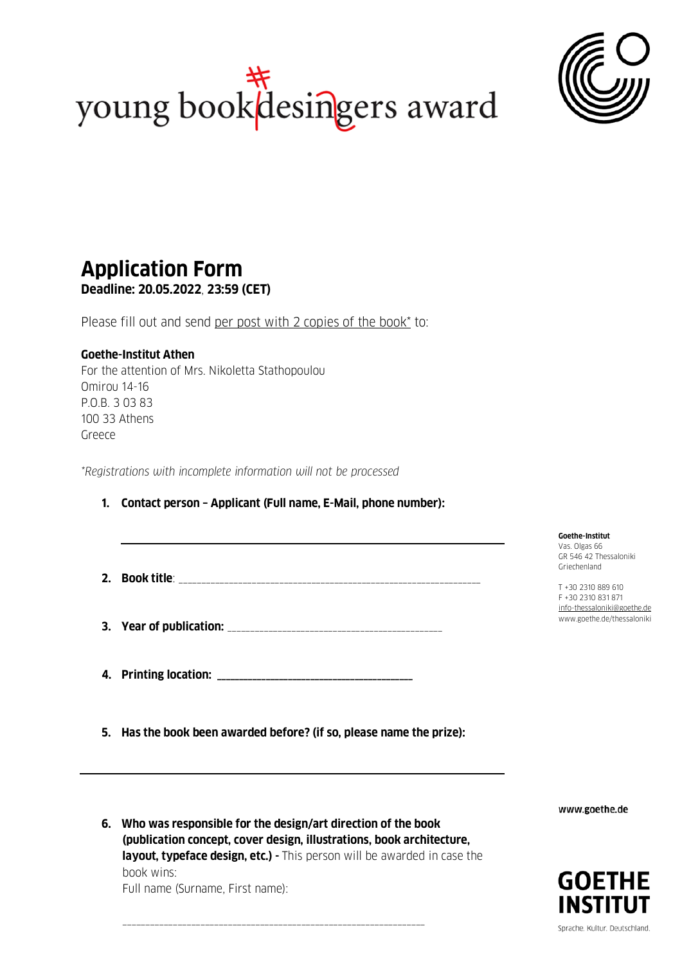



## **Application Form Deadline: 20.05.2022**, **23:59 (CET)**

Please fill out and send per post with 2 copies of the book\* to:

## **Goethe-Institut Athen**

For the attention of Mrs. Nikoletta Stathopoulou Omirou 14-16 P.O.B. 3 03 83 100 33 Athens Greece

*\*Registrations with incomplete information will not be processed*

## **1. Contact person – Applicant (Full name, E-Mail, phone number):**

- **2. Book title**: \_\_\_\_\_\_\_\_\_\_\_\_\_\_\_\_\_\_\_\_\_\_\_\_\_\_\_\_\_\_\_\_\_\_\_\_\_\_\_\_\_\_\_\_\_\_\_\_\_\_\_\_\_\_\_\_\_\_\_\_\_\_\_\_\_\_
- **3. Year of publication:** \_\_\_\_\_\_\_\_\_\_\_\_\_\_\_\_\_\_\_\_\_\_\_\_\_\_\_\_\_\_\_\_\_\_\_\_\_\_\_\_\_\_\_\_\_\_\_
- **4. Printing location: \_\_\_\_\_\_\_\_\_\_\_\_\_\_\_\_\_\_\_\_\_\_\_\_\_\_\_\_\_\_\_\_\_\_\_\_\_\_\_\_\_\_\_\_**

**5. Has the book been awarded before? (if so, please name the prize):** 

**Goethe-Institut**  Vas. Olgas 66 GR 546 42 Thessaloniki Griechenland

T +30 2310 889 610 F +30 2310 831 871 [info-thessaloniki@goethe.de](mailto:info-thessaloniki@goethe.de) www.goethe.de/thessaloniki

www.goethe.de



**6. Who was responsible for the design/art direction of the book (publication concept, cover design, illustrations, book architecture, layout, typeface design, etc.) -** This person will be awarded in case the book wins: Full name (Surname, First name):

\_\_\_\_\_\_\_\_\_\_\_\_\_\_\_\_\_\_\_\_\_\_\_\_\_\_\_\_\_\_\_\_\_\_\_\_\_\_\_\_\_\_\_\_\_\_\_\_\_\_\_\_\_\_\_\_\_\_\_\_\_\_\_\_\_\_